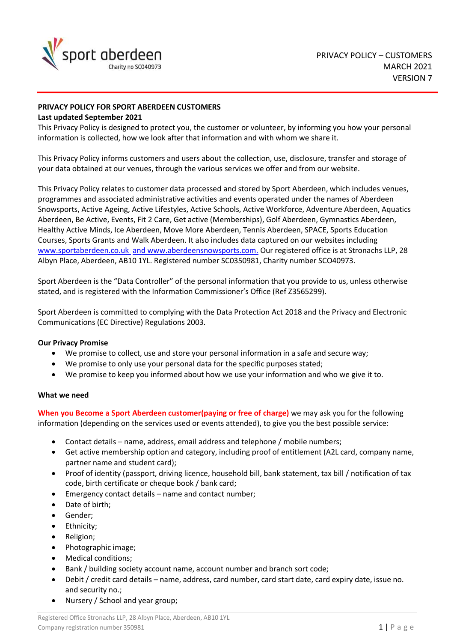

# **PRIVACY POLICY FOR SPORT ABERDEEN CUSTOMERS**

## **Last updated September 2021**

This Privacy Policy is designed to protect you, the customer or volunteer, by informing you how your personal information is collected, how we look after that information and with whom we share it.

This Privacy Policy informs customers and users about the collection, use, disclosure, transfer and storage of your data obtained at our venues, through the various services we offer and from our website.

This Privacy Policy relates to customer data processed and stored by Sport Aberdeen, which includes venues, programmes and associated administrative activities and events operated under the names of Aberdeen Snowsports, Active Ageing, Active Lifestyles, Active Schools, Active Workforce, Adventure Aberdeen, Aquatics Aberdeen, Be Active, Events, Fit 2 Care, Get active (Memberships), Golf Aberdeen, Gymnastics Aberdeen, Healthy Active Minds, Ice Aberdeen, Move More Aberdeen, Tennis Aberdeen, SPACE, Sports Education Courses, Sports Grants and Walk Aberdeen. It also includes data captured on our websites including [www.sportaberdeen.co.uk](http://www.sportaberdeen.co.uk/) and www.aberdeensnowsports.com. Our registered office is at Stronachs LLP, 28 Albyn Place, Aberdeen, AB10 1YL. Registered number SC0350981, Charity number SCO40973.

Sport Aberdeen is the "Data Controller" of the personal information that you provide to us, unless otherwise stated, and is registered with the Information Commissioner's Office (Ref Z3565299).

Sport Aberdeen is committed to complying with the Data Protection Act 2018 and the Privacy and Electronic Communications (EC Directive) Regulations 2003.

## **Our Privacy Promise**

- We promise to collect, use and store your personal information in a safe and secure way;
- We promise to only use your personal data for the specific purposes stated;
- We promise to keep you informed about how we use your information and who we give it to.

## **What we need**

**When you Become a Sport Aberdeen customer(paying or free of charge)** we may ask you for the following information (depending on the services used or events attended), to give you the best possible service:

- Contact details name, address, email address and telephone / mobile numbers;
- Get active membership option and category, including proof of entitlement (A2L card, company name, partner name and student card);
- Proof of identity (passport, driving licence, household bill, bank statement, tax bill / notification of tax code, birth certificate or cheque book / bank card;
- Emergency contact details name and contact number;
- Date of birth;
- Gender:
- Ethnicity;
- Religion;
- Photographic image;
- Medical conditions;
- Bank / building society account name, account number and branch sort code;
- Debit / credit card details name, address, card number, card start date, card expiry date, issue no. and security no.;
- Nursery / School and year group;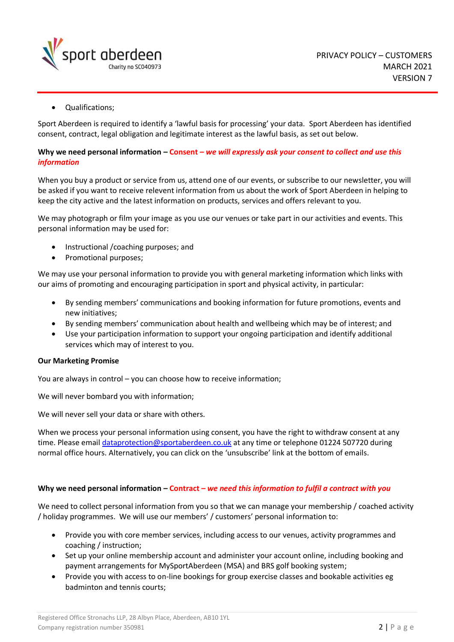

• Qualifications;

Sport Aberdeen is required to identify a 'lawful basis for processing' your data. Sport Aberdeen has identified consent, contract, legal obligation and legitimate interest as the lawful basis, as set out below.

## **Why we need personal information – Consent –** *we will expressly ask your consent to collect and use this information*

When you buy a product or service from us, attend one of our events, or subscribe to our newsletter, you will be asked if you want to receive relevent information from us about the work of Sport Aberdeen in helping to keep the city active and the latest information on products, services and offers relevant to you.

We may photograph or film your image as you use our venues or take part in our activities and events. This personal information may be used for:

- Instructional /coaching purposes; and
- Promotional purposes;

We may use your personal information to provide you with general marketing information which links with our aims of promoting and encouraging participation in sport and physical activity, in particular:

- By sending members' communications and booking information for future promotions, events and new initiatives;
- By sending members' communication about health and wellbeing which may be of interest; and
- Use your participation information to support your ongoing participation and identify additional services which may of interest to you.

## **Our Marketing Promise**

You are always in control – you can choose how to receive information;

We will never bombard you with information;

We will never sell your data or share with others.

When we process your personal information using consent, you have the right to withdraw consent at any time. Please emai[l dataprotection@sportaberdeen.co.uk](mailto:dataprotection@sportaberdeen.co.uk) at any time or telephone 01224 507720 during normal office hours. Alternatively, you can click on the 'unsubscribe' link at the bottom of emails.

## **Why we need personal information – Contract –** *we need this information to fulfil a contract with you*

We need to collect personal information from you so that we can manage your membership / coached activity / holiday programmes. We will use our members' / customers' personal information to:

- Provide you with core member services, including access to our venues, activity programmes and coaching / instruction;
- Set up your online membership account and administer your account online, including booking and payment arrangements for MySportAberdeen (MSA) and BRS golf booking system;
- Provide you with access to on-line bookings for group exercise classes and bookable activities eg badminton and tennis courts;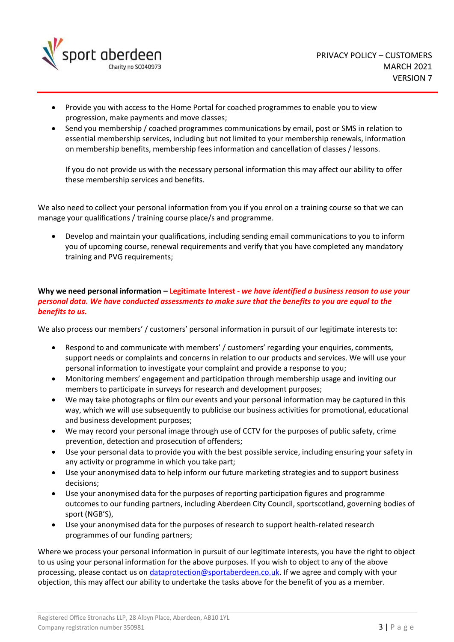

- Provide you with access to the Home Portal for coached programmes to enable you to view progression, make payments and move classes;
- Send you membership / coached programmes communications by email, post or SMS in relation to essential membership services, including but not limited to your membership renewals, information on membership benefits, membership fees information and cancellation of classes / lessons.

If you do not provide us with the necessary personal information this may affect our ability to offer these membership services and benefits.

We also need to collect your personal information from you if you enrol on a training course so that we can manage your qualifications / training course place/s and programme.

• Develop and maintain your qualifications, including sending email communications to you to inform you of upcoming course, renewal requirements and verify that you have completed any mandatory training and PVG requirements;

# **Why we need personal information – Legitimate Interest -** *we have identified a business reason to use your personal data. We have conducted assessments to make sure that the benefits to you are equal to the benefits to us.*

We also process our members' / customers' personal information in pursuit of our legitimate interests to:

- Respond to and communicate with members' / customers' regarding your enquiries, comments, support needs or complaints and concerns in relation to our products and services. We will use your personal information to investigate your complaint and provide a response to you;
- Monitoring members' engagement and participation through membership usage and inviting our members to participate in surveys for research and development purposes;
- We may take photographs or film our events and your personal information may be captured in this way, which we will use subsequently to publicise our business activities for promotional, educational and business development purposes;
- We may record your personal image through use of CCTV for the purposes of public safety, crime prevention, detection and prosecution of offenders;
- Use your personal data to provide you with the best possible service, including ensuring your safety in any activity or programme in which you take part;
- Use your anonymised data to help inform our future marketing strategies and to support business decisions;
- Use your anonymised data for the purposes of reporting participation figures and programme outcomes to our funding partners, including Aberdeen City Council, sportscotland, governing bodies of sport (NGB'S),
- Use your anonymised data for the purposes of research to support health-related research programmes of our funding partners;

Where we process your personal information in pursuit of our legitimate interests, you have the right to object to us using your personal information for the above purposes. If you wish to object to any of the above processing, please contact us on [dataprotection@sportaberdeen.co.uk.](mailto:dataprotection@sportaberdeen.co.uk) If we agree and comply with your objection, this may affect our ability to undertake the tasks above for the benefit of you as a member.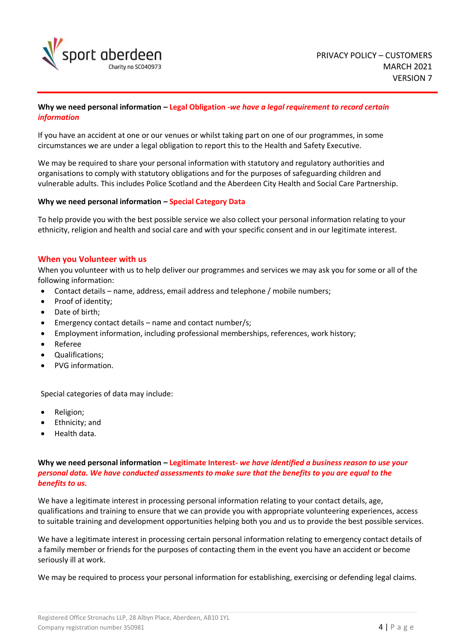

## **Why we need personal information – Legal Obligation -***we have a legal requirement to record certain information*

If you have an accident at one or our venues or whilst taking part on one of our programmes, in some circumstances we are under a legal obligation to report this to the Health and Safety Executive.

We may be required to share your personal information with statutory and regulatory authorities and organisations to comply with statutory obligations and for the purposes of safeguarding children and vulnerable adults. This includes Police Scotland and the Aberdeen City Health and Social Care Partnership.

## **Why we need personal information – Special Category Data**

To help provide you with the best possible service we also collect your personal information relating to your ethnicity, religion and health and social care and with your specific consent and in our legitimate interest.

## **When you Volunteer with us**

When you volunteer with us to help deliver our programmes and services we may ask you for some or all of the following information:

- Contact details name, address, email address and telephone / mobile numbers;
- Proof of identity;
- Date of birth;
- Emergency contact details name and contact number/s;
- Employment information, including professional memberships, references, work history;
- Referee
- Qualifications;
- PVG information.

Special categories of data may include:

- Religion;
- Ethnicity; and
- Health data.

## **Why we need personal information – Legitimate Interest-** *we have identified a business reason to use your personal data. We have conducted assessments to make sure that the benefits to you are equal to the benefits to us.*

We have a legitimate interest in processing personal information relating to your contact details, age, qualifications and training to ensure that we can provide you with appropriate volunteering experiences, access to suitable training and development opportunities helping both you and us to provide the best possible services.

We have a legitimate interest in processing certain personal information relating to emergency contact details of a family member or friends for the purposes of contacting them in the event you have an accident or become seriously ill at work.

We may be required to process your personal information for establishing, exercising or defending legal claims.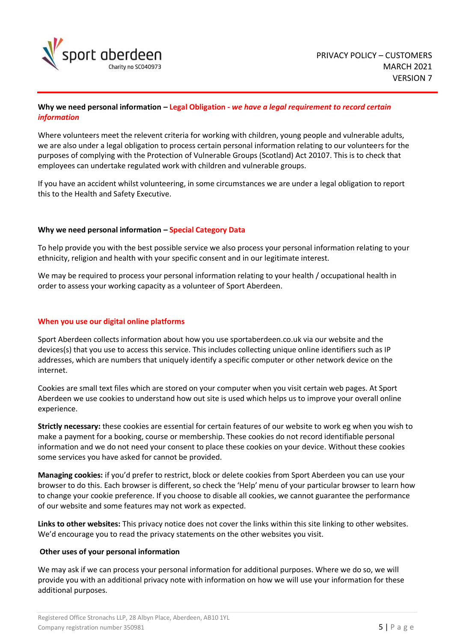

## **Why we need personal information – Legal Obligation -** *we have a legal requirement to record certain information*

Where volunteers meet the relevent criteria for working with children, young people and vulnerable adults, we are also under a legal obligation to process certain personal information relating to our volunteers for the purposes of complying with the Protection of Vulnerable Groups (Scotland) Act 20107. This is to check that employees can undertake regulated work with children and vulnerable groups.

If you have an accident whilst volunteering, in some circumstances we are under a legal obligation to report this to the Health and Safety Executive.

## **Why we need personal information – Special Category Data**

To help provide you with the best possible service we also process your personal information relating to your ethnicity, religion and health with your specific consent and in our legitimate interest.

We may be required to process your personal information relating to your health / occupational health in order to assess your working capacity as a volunteer of Sport Aberdeen.

## **When you use our digital online platforms**

Sport Aberdeen collects information about how you use sportaberdeen.co.uk via our website and the devices(s) that you use to access this service. This includes collecting unique online identifiers such as IP addresses, which are numbers that uniquely identify a specific computer or other network device on the internet.

Cookies are small text files which are stored on your computer when you visit certain web pages. At Sport Aberdeen we use cookies to understand how out site is used which helps us to improve your overall online experience.

**Strictly necessary:** these cookies are essential for certain features of our website to work eg when you wish to make a payment for a booking, course or membership. These cookies do not record identifiable personal information and we do not need your consent to place these cookies on your device. Without these cookies some services you have asked for cannot be provided.

**Managing cookies:** if you'd prefer to restrict, block or delete cookies from Sport Aberdeen you can use your browser to do this. Each browser is different, so check the 'Help' menu of your particular browser to learn how to change your cookie preference. If you choose to disable all cookies, we cannot guarantee the performance of our website and some features may not work as expected.

**Links to other websites:** This privacy notice does not cover the links within this site linking to other websites. We'd encourage you to read the privacy statements on the other websites you visit.

## **Other uses of your personal information**

We may ask if we can process your personal information for additional purposes. Where we do so, we will provide you with an additional privacy note with information on how we will use your information for these additional purposes.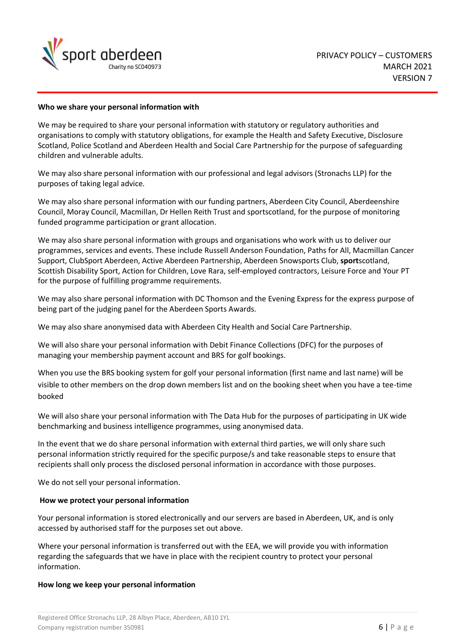

## **Who we share your personal information with**

We may be required to share your personal information with statutory or regulatory authorities and organisations to comply with statutory obligations, for example the Health and Safety Executive, Disclosure Scotland, Police Scotland and Aberdeen Health and Social Care Partnership for the purpose of safeguarding children and vulnerable adults.

We may also share personal information with our professional and legal advisors (Stronachs LLP) for the purposes of taking legal advice.

We may also share personal information with our funding partners, Aberdeen City Council, Aberdeenshire Council, Moray Council, Macmillan, Dr Hellen Reith Trust and sportscotland, for the purpose of monitoring funded programme participation or grant allocation.

We may also share personal information with groups and organisations who work with us to deliver our programmes, services and events. These include Russell Anderson Foundation, Paths for All, Macmillan Cancer Support, ClubSport Aberdeen, Active Aberdeen Partnership, Aberdeen Snowsports Club, **sport**scotland, Scottish Disability Sport, Action for Children, Love Rara, self-employed contractors, Leisure Force and Your PT for the purpose of fulfilling programme requirements.

We may also share personal information with DC Thomson and the Evening Express for the express purpose of being part of the judging panel for the Aberdeen Sports Awards.

We may also share anonymised data with Aberdeen City Health and Social Care Partnership.

We will also share your personal information with Debit Finance Collections (DFC) for the purposes of managing your membership payment account and BRS for golf bookings.

When you use the BRS booking system for golf your personal information (first name and last name) will be visible to other members on the drop down members list and on the booking sheet when you have a tee-time booked

We will also share your personal information with The Data Hub for the purposes of participating in UK wide benchmarking and business intelligence programmes, using anonymised data.

In the event that we do share personal information with external third parties, we will only share such personal information strictly required for the specific purpose/s and take reasonable steps to ensure that recipients shall only process the disclosed personal information in accordance with those purposes.

We do not sell your personal information.

#### **How we protect your personal information**

Your personal information is stored electronically and our servers are based in Aberdeen, UK, and is only accessed by authorised staff for the purposes set out above.

Where your personal information is transferred out with the EEA, we will provide you with information regarding the safeguards that we have in place with the recipient country to protect your personal information.

#### **How long we keep your personal information**